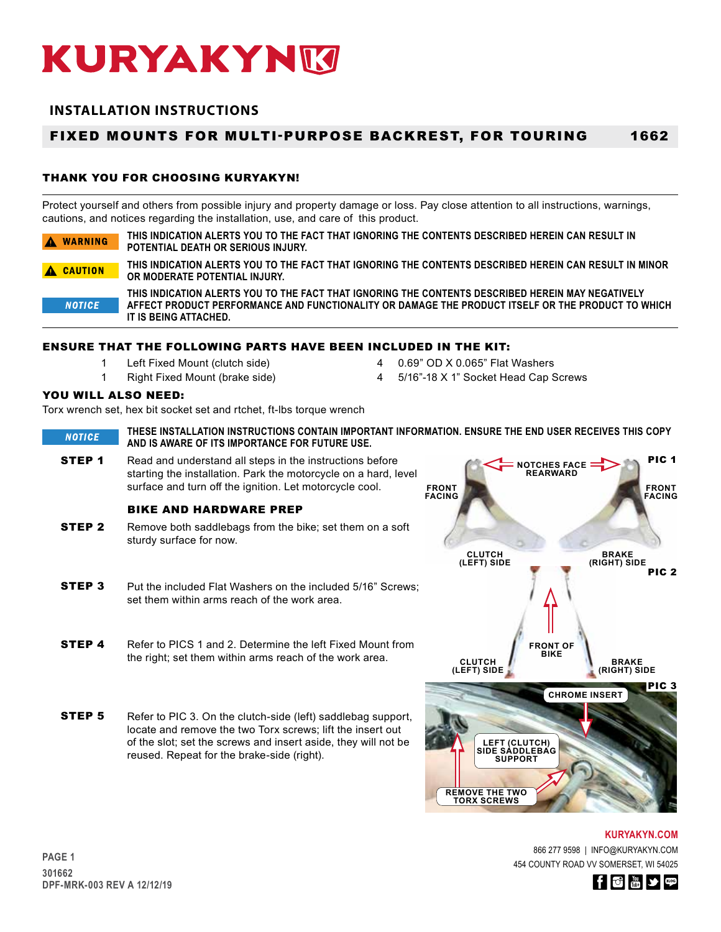# **INSTALLATION INSTRUCTIONS**

#### FIXED MOUNTS FOR MULTI-PURPOSE BACKREST, FOR TOURING 1662

# THANK YOU FOR CHOOSING KURYAKYN!

Protect yourself and others from possible injury and property damage or loss. Pay close attention to all instructions, warnings, cautions, and notices regarding the installation, use, and care of this product.

| A WARNING     | THIS INDICATION ALERTS YOU TO THE FACT THAT IGNORING THE CONTENTS DESCRIBED HEREIN CAN RESULT IN<br>POTENTIAL DEATH OR SERIOUS INJURY.                                                                                          |
|---------------|---------------------------------------------------------------------------------------------------------------------------------------------------------------------------------------------------------------------------------|
| A CAUTION     | THIS INDICATION ALERTS YOU TO THE FACT THAT IGNORING THE CONTENTS DESCRIBED HEREIN CAN RESULT IN MINOR<br>OR MODERATE POTENTIAL INJURY.                                                                                         |
| <b>NOTICE</b> | THIS INDICATION ALERTS YOU TO THE FACT THAT IGNORING THE CONTENTS DESCRIBED HEREIN MAY NEGATIVELY<br>AFFECT PRODUCT PERFORMANCE AND FUNCTIONALITY OR DAMAGE THE PRODUCT ITSELF OR THE PRODUCT TO WHICH<br>IT IS BEING ATTACHED. |

# ENSURE THAT THE FOLLOWING PARTS HAVE BEEN INCLUDED IN THE KIT:

- 1 Left Fixed Mount (clutch side) 4 0.69" OD X 0.065" Flat Washers
- 1 Right Fixed Mount (brake side) 4 5/16"-18 X 1" Socket Head Cap Screws
- 
- 

# YOU WILL ALSO NEED:

Torx wrench set, hex bit socket set and rtchet, ft-lbs torque wrench

**THESE INSTALLATION INSTRUCTIONS CONTAIN IMPORTANT INFORMATION. ENSURE THE END USER RECEIVES THIS COPY NOTICE AND IS AWARE OF ITS IMPORTANCE FOR FUTURE USE.**

**STEP 1** Read and understand all steps in the instructions before starting the installation. Park the motorcycle on a hard, level surface and turn off the ignition. Let motorcycle cool.

## BIKE AND HARDWARE PREP

- **STEP 2** Remove both saddlebags from the bike; set them on a soft sturdy surface for now.
- **STEP 3** Put the included Flat Washers on the included 5/16" Screws: set them within arms reach of the work area.
- **STEP 4** Refer to PICS 1 and 2. Determine the left Fixed Mount from the right; set them within arms reach of the work area.
- **STEP 5** Refer to PIC 3. On the clutch-side (left) saddlebag support, locate and remove the two Torx screws; lift the insert out of the slot; set the screws and insert aside, they will not be reused. Repeat for the brake-side (right).



866 277 9598 | INFO@KURYAKYN.COM 454 COUNTY ROAD VV SOMERSET, WI 54025 **KURYAKYN.COM**

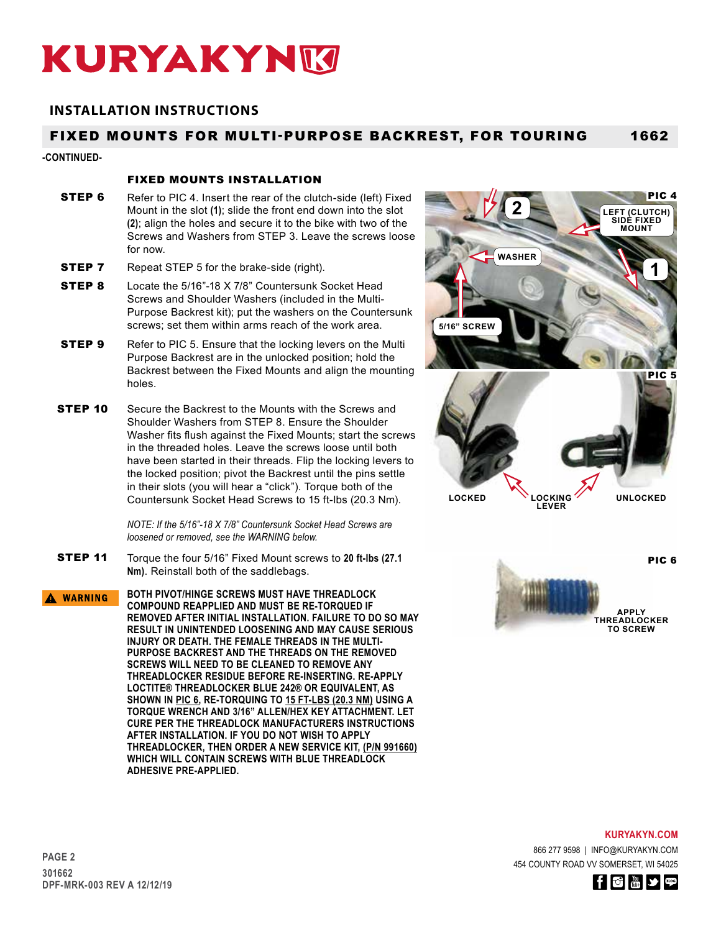# **INSTALLATION INSTRUCTIONS**

#### FIXED MOUNTS FOR MULTI-PURPOSE BACKREST, FOR TOURING 1662

### **-CONTINUED-**

## FIXED MOUNTS INSTALLATION

- **STEP 6** Refer to PIC 4. Insert the rear of the clutch-side (left) Fixed Mount in the slot **(1)**; slide the front end down into the slot **(2)**; align the holes and secure it to the bike with two of the Screws and Washers from STEP 3. Leave the screws loose for now.
- **STEP 7** Repeat STEP 5 for the brake-side (right).
- **STEP 8** Locate the 5/16"-18 X 7/8" Countersunk Socket Head Screws and Shoulder Washers (included in the Multi-Purpose Backrest kit); put the washers on the Countersunk screws; set them within arms reach of the work area.
- **STEP 9** Refer to PIC 5. Ensure that the locking levers on the Multi Purpose Backrest are in the unlocked position; hold the Backrest between the Fixed Mounts and align the mounting holes.
- **STEP 10** Secure the Backrest to the Mounts with the Screws and Shoulder Washers from STEP 8. Ensure the Shoulder Washer fits flush against the Fixed Mounts; start the screws in the threaded holes. Leave the screws loose until both have been started in their threads. Flip the locking levers to the locked position; pivot the Backrest until the pins settle in their slots (you will hear a "click"). Torque both of the Countersunk Socket Head Screws to 15 ft-lbs (20.3 Nm).

*NOTE: If the 5/16"-18 X 7/8" Countersunk Socket Head Screws are loosened or removed, see the WARNING below.*

- STEP 11 Torque the four 5/16" Fixed Mount screws to **20 ft-lbs (27.1 Nm)**. Reinstall both of the saddlebags.
- **BOTH PIVOT/HINGE SCREWS MUST HAVE THREADLOCK**  A WARNING **COMPOUND REAPPLIED AND MUST BE RE-TORQUED IF REMOVED AFTER INITIAL INSTALLATION. FAILURE TO DO SO MAY RESULT IN UNINTENDED LOOSENING AND MAY CAUSE SERIOUS INJURY OR DEATH. THE FEMALE THREADS IN THE MULTI-PURPOSE BACKREST AND THE THREADS ON THE REMOVED SCREWS WILL NEED TO BE CLEANED TO REMOVE ANY THREADLOCKER RESIDUE BEFORE RE-INSERTING. RE-APPLY LOCTITE® THREADLOCKER BLUE 242® OR EQUIVALENT, AS SHOWN IN PIC 6, RE-TORQUING TO 15 FT-LBS (20.3 NM) USING A TORQUE WRENCH AND 3/16" ALLEN/HEX KEY ATTACHMENT. LET CURE PER THE THREADLOCK MANUFACTURERS INSTRUCTIONS AFTER INSTALLATION. IF YOU DO NOT WISH TO APPLY THREADLOCKER, THEN ORDER A NEW SERVICE KIT, (P/N 991660) WHICH WILL CONTAIN SCREWS WITH BLUE THREADLOCK ADHESIVE PRE-APPLIED.**



**THREADLOCKER TO SCREW**

## **KURYAKYN.COM**

866 277 9598 | INFO@KURYAKYN.COM 454 COUNTY ROAD VV SOMERSET, WI 54025

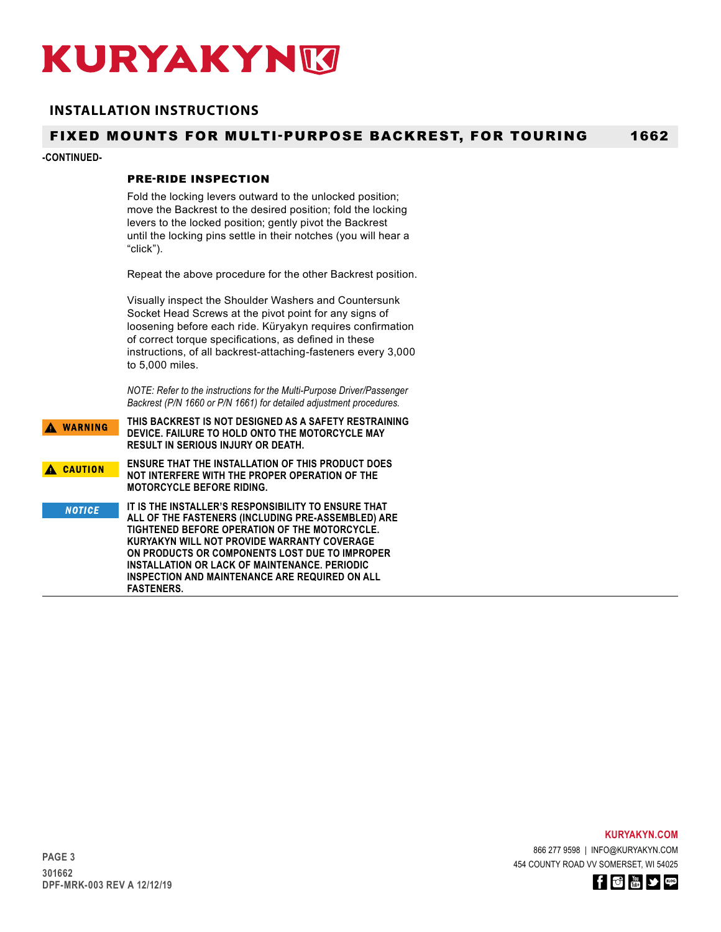# **INSTALLATION INSTRUCTIONS**

#### FIXED MOUNTS FOR MULTI-PURPOSE BACKREST, FOR TOURING 1662

### **-CONTINUED-**

## PRE-RIDE INSPECTION

Fold the locking levers outward to the unlocked position; move the Backrest to the desired position; fold the locking levers to the locked position; gently pivot the Backrest until the locking pins settle in their notches (you will hear a "click").

Repeat the above procedure for the other Backrest position.

Visually inspect the Shoulder Washers and Countersunk Socket Head Screws at the pivot point for any signs of loosening before each ride. Küryakyn requires confirmation of correct torque specifications, as defined in these instructions, of all backrest-attaching-fasteners every 3,000 to 5,000 miles.

*NOTE: Refer to the instructions for the Multi-Purpose Driver/Passenger Backrest (P/N 1660 or P/N 1661) for detailed adjustment procedures.*

**THIS BACKREST IS NOT DESIGNED AS A SAFETY RESTRAINING**  A WARNING **DEVICE. FAILURE TO HOLD ONTO THE MOTORCYCLE MAY RESULT IN SERIOUS INJURY OR DEATH. ENSURE THAT THE INSTALLATION OF THIS PRODUCT DOES**  A CAUTION **NOT INTERFERE WITH THE PROPER OPERATION OF THE MOTORCYCLE BEFORE RIDING. IT IS THE INSTALLER'S RESPONSIBILITY TO ENSURE THAT NOTICE ALL OF THE FASTENERS (INCLUDING PRE-ASSEMBLED) ARE TIGHTENED BEFORE OPERATION OF THE MOTORCYCLE. KURYAKYN WILL NOT PROVIDE WARRANTY COVERAGE ON PRODUCTS OR COMPONENTS LOST DUE TO IMPROPER INSTALLATION OR LACK OF MAINTENANCE. PERIODIC INSPECTION AND MAINTENANCE ARE REQUIRED ON ALL FASTENERS.**

**KURYAKYN.COM**

866 277 9598 | INFO@KURYAKYN.COM 454 COUNTY ROAD VV SOMERSET, WI 54025